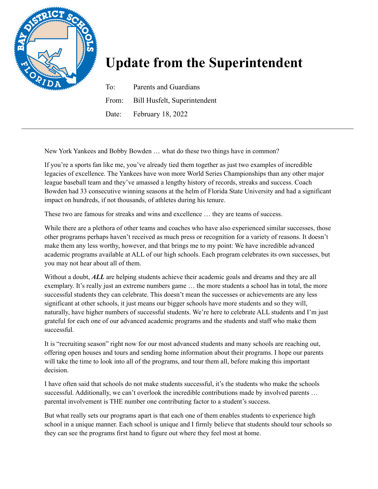

## **Update from the Superintendent**

To: Parents and Guardians From: Bill Husfelt, Superintendent Date: February 18, 2022

New York Yankees and Bobby Bowden … what do these two things have in common?

If you're a sports fan like me, you've already tied them together as just two examples of incredible legacies of excellence. The Yankees have won more World Series Championships than any other major league baseball team and they've amassed a lengthy history of records, streaks and success. Coach Bowden had 33 consecutive winning seasons at the helm of Florida State University and had a significant impact on hundreds, if not thousands, of athletes during his tenure.

These two are famous for streaks and wins and excellence … they are teams of success.

While there are a plethora of other teams and coaches who have also experienced similar successes, those other programs perhaps haven't received as much press or recognition for a variety of reasons. It doesn't make them any less worthy, however, and that brings me to my point: We have incredible advanced academic programs available at ALL of our high schools. Each program celebrates its own successes, but you may not hear about all of them.

Without a doubt, *ALL* are helping students achieve their academic goals and dreams and they are all exemplary. It's really just an extreme numbers game … the more students a school has in total, the more successful students they can celebrate. This doesn't mean the successes or achievements are any less significant at other schools, it just means our bigger schools have more students and so they will, naturally, have higher numbers of successful students. We're here to celebrate ALL students and I'm just grateful for each one of our advanced academic programs and the students and staff who make them successful.

It is "recruiting season" right now for our most advanced students and many schools are reaching out, offering open houses and tours and sending home information about their programs. I hope our parents will take the time to look into all of the programs, and tour them all, before making this important decision.

I have often said that schools do not make students successful, it's the students who make the schools successful. Additionally, we can't overlook the incredible contributions made by involved parents ... parental involvement is THE number one contributing factor to a student's success.

But what really sets our programs apart is that each one of them enables students to experience high school in a unique manner. Each school is unique and I firmly believe that students should tour schools so they can see the programs first hand to figure out where they feel most at home.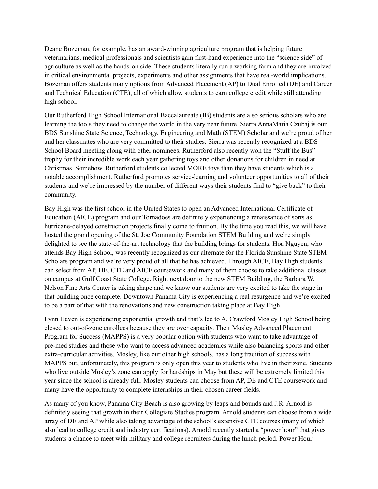Deane Bozeman, for example, has an award-winning agriculture program that is helping future veterinarians, medical professionals and scientists gain first-hand experience into the "science side" of agriculture as well as the hands-on side. These students literally run a working farm and they are involved in critical environmental projects, experiments and other assignments that have real-world implications. Bozeman offers students many options from Advanced Placement (AP) to Dual Enrolled (DE) and Career and Technical Education (CTE), all of which allow students to earn college credit while still attending high school.

Our Rutherford High School International Baccalaureate (IB) students are also serious scholars who are learning the tools they need to change the world in the very near future. Sierra AnnaMaria Czubaj is our BDS Sunshine State Science, Technology, Engineering and Math (STEM) Scholar and we're proud of her and her classmates who are very committed to their studies. Sierra was recently recognized at a BDS School Board meeting along with other nominees. Rutherford also recently won the "Stuff the Bus" trophy for their incredible work each year gathering toys and other donations for children in need at Christmas. Somehow, Rutherford students collected MORE toys than they have students which is a notable accomplishment. Rutherford promotes service-learning and volunteer opportunities to all of their students and we're impressed by the number of different ways their students find to "give back" to their community.

Bay High was the first school in the United States to open an Advanced International Certificate of Education (AICE) program and our Tornadoes are definitely experiencing a renaissance of sorts as hurricane-delayed construction projects finally come to fruition. By the time you read this, we will have hosted the grand opening of the St. Joe Community Foundation STEM Building and we're simply delighted to see the state-of-the-art technology that the building brings for students. Hoa Nguyen, who attends Bay High School, was recently recognized as our alternate for the Florida Sunshine State STEM Scholars program and we're very proud of all that he has achieved. Through AICE, Bay High students can select from AP, DE, CTE and AICE coursework and many of them choose to take additional classes on campus at Gulf Coast State College. Right next door to the new STEM Building, the Barbara W. Nelson Fine Arts Center is taking shape and we know our students are very excited to take the stage in that building once complete. Downtown Panama City is experiencing a real resurgence and we're excited to be a part of that with the renovations and new construction taking place at Bay High.

Lynn Haven is experiencing exponential growth and that's led to A. Crawford Mosley High School being closed to out-of-zone enrollees because they are over capacity. Their Mosley Advanced Placement Program for Success (MAPPS) is a very popular option with students who want to take advantage of pre-med studies and those who want to access advanced academics while also balancing sports and other extra-curricular activities. Mosley, like our other high schools, has a long tradition of success with MAPPS but, unfortunately, this program is only open this year to students who live in their zone. Students who live outside Mosley's zone can apply for hardships in May but these will be extremely limited this year since the school is already full. Mosley students can choose from AP, DE and CTE coursework and many have the opportunity to complete internships in their chosen career fields.

As many of you know, Panama City Beach is also growing by leaps and bounds and J.R. Arnold is definitely seeing that growth in their Collegiate Studies program. Arnold students can choose from a wide array of DE and AP while also taking advantage of the school's extensive CTE courses (many of which also lead to college credit and industry certifications). Arnold recently started a "power hour" that gives students a chance to meet with military and college recruiters during the lunch period. Power Hour